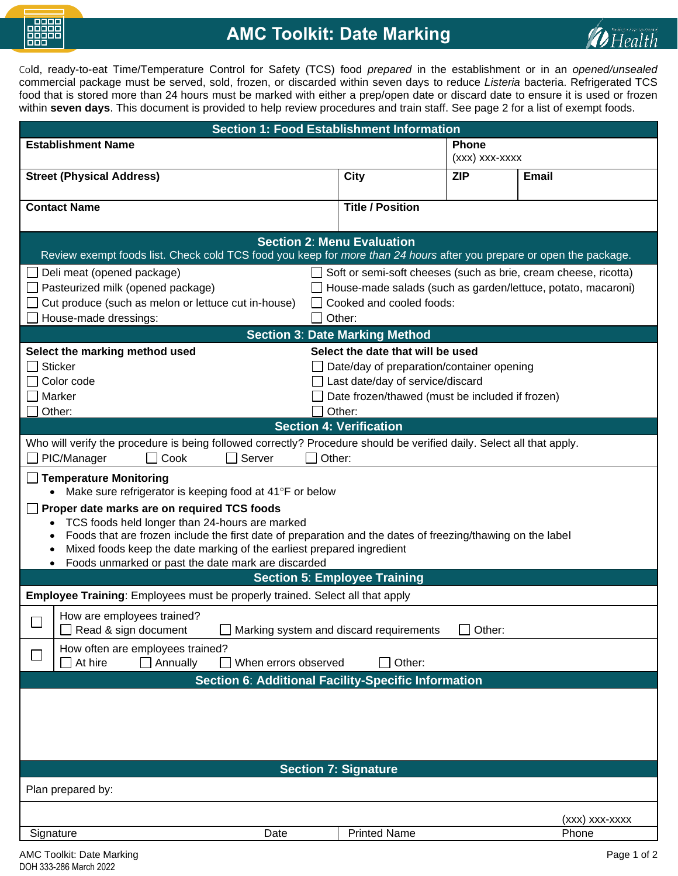

## **AMC Toolkit: Date Marking**



Cold, ready-to-eat Time/Temperature Control for Safety (TCS) food *prepared* in the establishment or in an *opened/unsealed* commercial package must be served, sold, frozen, or discarded within seven days to reduce *Listeria* bacteria. Refrigerated TCS food that is stored more than 24 hours must be marked with either a prep/open date or discard date to ensure it is used or frozen within **seven days**. This document is provided to help review procedures and train staff. See page 2 for a list of exempt foods.

| <b>Section 1: Food Establishment Information</b>                                                                      |                                                                                     |                |                                                                 |  |
|-----------------------------------------------------------------------------------------------------------------------|-------------------------------------------------------------------------------------|----------------|-----------------------------------------------------------------|--|
| <b>Establishment Name</b>                                                                                             |                                                                                     | <b>Phone</b>   |                                                                 |  |
|                                                                                                                       |                                                                                     | (xxx) xxx-xxxx |                                                                 |  |
| <b>Street (Physical Address)</b>                                                                                      | City                                                                                | <b>ZIP</b>     | <b>Email</b>                                                    |  |
|                                                                                                                       |                                                                                     |                |                                                                 |  |
| <b>Contact Name</b>                                                                                                   | <b>Title / Position</b>                                                             |                |                                                                 |  |
|                                                                                                                       |                                                                                     |                |                                                                 |  |
| <b>Section 2: Menu Evaluation</b>                                                                                     |                                                                                     |                |                                                                 |  |
| Review exempt foods list. Check cold TCS food you keep for more than 24 hours after you prepare or open the package.  |                                                                                     |                |                                                                 |  |
| Deli meat (opened package)                                                                                            |                                                                                     |                | Soft or semi-soft cheeses (such as brie, cream cheese, ricotta) |  |
| Pasteurized milk (opened package)                                                                                     | House-made salads (such as garden/lettuce, potato, macaroni)                        |                |                                                                 |  |
| Cut produce (such as melon or lettuce cut in-house)                                                                   | Cooked and cooled foods:                                                            |                |                                                                 |  |
| House-made dressings:                                                                                                 | Other:                                                                              |                |                                                                 |  |
|                                                                                                                       | <b>Section 3: Date Marking Method</b>                                               |                |                                                                 |  |
| Select the marking method used                                                                                        | Select the date that will be used                                                   |                |                                                                 |  |
| <b>Sticker</b>                                                                                                        |                                                                                     |                |                                                                 |  |
| Color code                                                                                                            | Date/day of preparation/container opening                                           |                |                                                                 |  |
|                                                                                                                       | Last date/day of service/discard<br>Date frozen/thawed (must be included if frozen) |                |                                                                 |  |
| $\Box$ Marker                                                                                                         |                                                                                     |                |                                                                 |  |
| Other:                                                                                                                | Other:                                                                              |                |                                                                 |  |
|                                                                                                                       | <b>Section 4: Verification</b>                                                      |                |                                                                 |  |
| Who will verify the procedure is being followed correctly? Procedure should be verified daily. Select all that apply. |                                                                                     |                |                                                                 |  |
| PIC/Manager<br>Cook<br>Server<br>Other:                                                                               |                                                                                     |                |                                                                 |  |
| <b>Temperature Monitoring</b>                                                                                         |                                                                                     |                |                                                                 |  |
| Make sure refrigerator is keeping food at $41^{\circ}$ F or below                                                     |                                                                                     |                |                                                                 |  |
|                                                                                                                       |                                                                                     |                |                                                                 |  |
| Proper date marks are on required TCS foods<br>TCS foods held longer than 24-hours are marked<br>$\bullet$            |                                                                                     |                |                                                                 |  |
| Foods that are frozen include the first date of preparation and the dates of freezing/thawing on the label            |                                                                                     |                |                                                                 |  |
| Mixed foods keep the date marking of the earliest prepared ingredient                                                 |                                                                                     |                |                                                                 |  |
| Foods unmarked or past the date mark are discarded                                                                    |                                                                                     |                |                                                                 |  |
| <b>Section 5: Employee Training</b>                                                                                   |                                                                                     |                |                                                                 |  |
| <b>Employee Training:</b> Employees must be properly trained. Select all that apply                                   |                                                                                     |                |                                                                 |  |
|                                                                                                                       |                                                                                     |                |                                                                 |  |
| How are employees trained?                                                                                            |                                                                                     |                |                                                                 |  |
| Read & sign document<br>Marking system and discard requirements<br>Other:                                             |                                                                                     |                |                                                                 |  |
| How often are employees trained?                                                                                      |                                                                                     |                |                                                                 |  |
| Other:<br>Annually<br>When errors observed<br>At hire                                                                 |                                                                                     |                |                                                                 |  |
| Section 6: Additional Facility-Specific Information                                                                   |                                                                                     |                |                                                                 |  |
|                                                                                                                       |                                                                                     |                |                                                                 |  |
|                                                                                                                       |                                                                                     |                |                                                                 |  |
|                                                                                                                       |                                                                                     |                |                                                                 |  |
|                                                                                                                       |                                                                                     |                |                                                                 |  |
|                                                                                                                       |                                                                                     |                |                                                                 |  |
| <b>Section 7: Signature</b>                                                                                           |                                                                                     |                |                                                                 |  |
|                                                                                                                       |                                                                                     |                |                                                                 |  |
| Plan prepared by:                                                                                                     |                                                                                     |                |                                                                 |  |
|                                                                                                                       |                                                                                     |                | (xxx) xxx-xxxx                                                  |  |
| Signature<br>Date                                                                                                     | <b>Printed Name</b>                                                                 |                | Phone                                                           |  |
|                                                                                                                       |                                                                                     |                |                                                                 |  |
| AMC Toolkit: Date Marking                                                                                             |                                                                                     |                | Page 1 of 2                                                     |  |